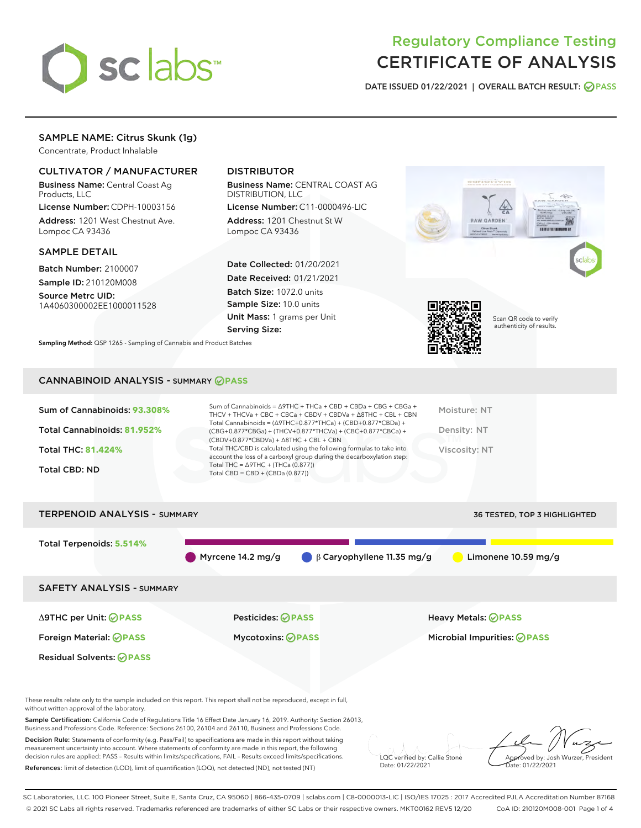

# Regulatory Compliance Testing CERTIFICATE OF ANALYSIS

DATE ISSUED 01/22/2021 | OVERALL BATCH RESULT: @ PASS

# SAMPLE NAME: Citrus Skunk (1g)

Concentrate, Product Inhalable

## CULTIVATOR / MANUFACTURER

Business Name: Central Coast Ag Products, LLC

License Number: CDPH-10003156 Address: 1201 West Chestnut Ave. Lompoc CA 93436

#### SAMPLE DETAIL

Batch Number: 2100007 Sample ID: 210120M008

Source Metrc UID: 1A4060300002EE1000011528

## DISTRIBUTOR

Business Name: CENTRAL COAST AG DISTRIBUTION, LLC

License Number: C11-0000496-LIC Address: 1201 Chestnut St W Lompoc CA 93436

Date Collected: 01/20/2021 Date Received: 01/21/2021 Batch Size: 1072.0 units Sample Size: 10.0 units Unit Mass: 1 grams per Unit Serving Size:



CANNABINOID ANALYSIS - SUMMARY **PASS**

Sampling Method: QSP 1265 - Sampling of Cannabis and Product Batches

| Sum of Cannabinoids: 93.308%<br>Total Cannabinoids: 81.952%<br><b>Total THC: 81.424%</b><br><b>Total CBD: ND</b> | Sum of Cannabinoids = $\triangle$ 9THC + THCa + CBD + CBDa + CBG + CBGa +<br>THCV + THCVa + CBC + CBCa + CBDV + CBDVa + $\land$ 8THC + CBL + CBN<br>Total Cannabinoids = $(\Delta$ 9THC+0.877*THCa) + (CBD+0.877*CBDa) +<br>$(CBG+0.877*CBGa) + (THCV+0.877*THCVa) + (CBC+0.877*CBCa) +$<br>$(CBDV+0.877*CBDVa) + \Delta 8THC + CBL + CBN$<br>Total THC/CBD is calculated using the following formulas to take into<br>account the loss of a carboxyl group during the decarboxylation step:<br>Total THC = $\triangle$ 9THC + (THCa (0.877))<br>Total CBD = $CBD + (CBDa (0.877))$ | Moisture: NT<br>Density: NT<br>Viscosity: NT |
|------------------------------------------------------------------------------------------------------------------|-------------------------------------------------------------------------------------------------------------------------------------------------------------------------------------------------------------------------------------------------------------------------------------------------------------------------------------------------------------------------------------------------------------------------------------------------------------------------------------------------------------------------------------------------------------------------------------|----------------------------------------------|
| <b>TERPENOID ANALYSIS - SUMMARY</b>                                                                              |                                                                                                                                                                                                                                                                                                                                                                                                                                                                                                                                                                                     | 36 TESTED, TOP 3 HIGHLIGHTED                 |
| Total Terpenoids: 5.514%                                                                                         | $\beta$ Caryophyllene 11.35 mg/g<br>Myrcene 14.2 mg/g                                                                                                                                                                                                                                                                                                                                                                                                                                                                                                                               | Limonene $10.59$ mg/g                        |

SAFETY ANALYSIS - SUMMARY Δ9THC per Unit: **PASS** Pesticides: **PASS** Heavy Metals: **PASS** Foreign Material: **PASS** Mycotoxins: **PASS** Microbial Impurities: **PASS** Residual Solvents: **OPASS** 

These results relate only to the sample included on this report. This report shall not be reproduced, except in full, without written approval of the laboratory.

Sample Certification: California Code of Regulations Title 16 Effect Date January 16, 2019. Authority: Section 26013, Business and Professions Code. Reference: Sections 26100, 26104 and 26110, Business and Professions Code.

Decision Rule: Statements of conformity (e.g. Pass/Fail) to specifications are made in this report without taking measurement uncertainty into account. Where statements of conformity are made in this report, the following decision rules are applied: PASS – Results within limits/specifications, FAIL – Results exceed limits/specifications. References: limit of detection (LOD), limit of quantification (LOQ), not detected (ND), not tested (NT)

LQC verified by: Callie Stone Date: 01/22/2021

Approved by: Josh Wurzer, President ate: 01/22/2021

SC Laboratories, LLC. 100 Pioneer Street, Suite E, Santa Cruz, CA 95060 | 866-435-0709 | sclabs.com | C8-0000013-LIC | ISO/IES 17025 : 2017 Accredited PJLA Accreditation Number 87168 © 2021 SC Labs all rights reserved. Trademarks referenced are trademarks of either SC Labs or their respective owners. MKT00162 REV5 12/20 CoA ID: 210120M008-001 Page 1 of 4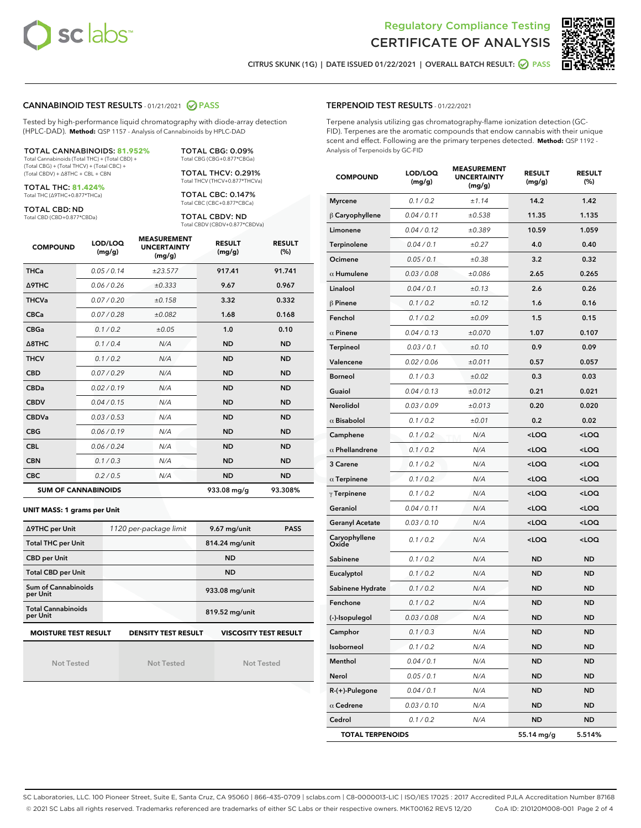



CITRUS SKUNK (1G) | DATE ISSUED 01/22/2021 | OVERALL BATCH RESULT: @ PASS

TERPENOID TEST RESULTS - 01/22/2021

#### CANNABINOID TEST RESULTS - 01/21/2021 2 PASS

Tested by high-performance liquid chromatography with diode-array detection (HPLC-DAD). **Method:** QSP 1157 - Analysis of Cannabinoids by HPLC-DAD

| <b>TOTAL CANNABINOIDS: 81.952%</b>             |  |
|------------------------------------------------|--|
| Total Cannabinoids (Total THC) + (Total CBD) + |  |

Total Cannabinoids (Total THC) + (Total CBD) + (Total CBG) + (Total THCV) + (Total CBC) + (Total CBDV) + ∆8THC + CBL + CBN

TOTAL THC: **81.424%** Total THC (∆9THC+0.877\*THCa)

TOTAL CBD: ND

Total CBD (CBD+0.877\*CBDa)

Total CBG (CBG+0.877\*CBGa) TOTAL THCV: 0.291% Total THCV (THCV+0.877\*THCVa)

TOTAL CBG: 0.09%

TOTAL CBC: 0.147% Total CBC (CBC+0.877\*CBCa)

TOTAL CBDV: ND Total CBDV (CBDV+0.877\*CBDVa)

| <b>COMPOUND</b>  | LOD/LOQ<br>(mg/g)          | <b>MEASUREMENT</b><br><b>UNCERTAINTY</b><br>(mg/g) | <b>RESULT</b><br>(mg/g) | <b>RESULT</b><br>(%) |
|------------------|----------------------------|----------------------------------------------------|-------------------------|----------------------|
| <b>THCa</b>      | 0.05/0.14                  | ±23.577                                            | 917.41                  | 91.741               |
| <b>A9THC</b>     | 0.06 / 0.26                | ±0.333                                             | 9.67                    | 0.967                |
| <b>THCVa</b>     | 0.07/0.20                  | ±0.158                                             | 3.32                    | 0.332                |
| <b>CBCa</b>      | 0.07/0.28                  | ±0.082                                             | 1.68                    | 0.168                |
| <b>CBGa</b>      | 0.1/0.2                    | ±0.05                                              | 1.0                     | 0.10                 |
| $\triangle$ 8THC | 0.1 / 0.4                  | N/A                                                | <b>ND</b>               | <b>ND</b>            |
| <b>THCV</b>      | 0.1 / 0.2                  | N/A                                                | <b>ND</b>               | <b>ND</b>            |
| <b>CBD</b>       | 0.07/0.29                  | N/A                                                | <b>ND</b>               | <b>ND</b>            |
| <b>CBDa</b>      | 0.02 / 0.19                | N/A                                                | <b>ND</b>               | <b>ND</b>            |
| <b>CBDV</b>      | 0.04/0.15                  | N/A                                                | <b>ND</b>               | <b>ND</b>            |
| <b>CBDVa</b>     | 0.03/0.53                  | N/A                                                | <b>ND</b>               | <b>ND</b>            |
| <b>CBG</b>       | 0.06/0.19                  | N/A                                                | <b>ND</b>               | <b>ND</b>            |
| <b>CBL</b>       | 0.06/0.24                  | N/A                                                | <b>ND</b>               | <b>ND</b>            |
| <b>CBN</b>       | 0.1/0.3                    | N/A                                                | <b>ND</b>               | <b>ND</b>            |
| <b>CBC</b>       | 0.2 / 0.5                  | N/A                                                | <b>ND</b>               | <b>ND</b>            |
|                  | <b>SUM OF CANNABINOIDS</b> |                                                    | 933.08 mg/g             | 93.308%              |

#### **UNIT MASS: 1 grams per Unit**

| ∆9THC per Unit                                                                            | 1120 per-package limit | 9.67 mg/unit<br><b>PASS</b> |  |  |  |
|-------------------------------------------------------------------------------------------|------------------------|-----------------------------|--|--|--|
| <b>Total THC per Unit</b>                                                                 |                        | 814.24 mg/unit              |  |  |  |
| <b>CBD per Unit</b>                                                                       |                        | <b>ND</b>                   |  |  |  |
| <b>Total CBD per Unit</b>                                                                 |                        | <b>ND</b>                   |  |  |  |
| Sum of Cannabinoids<br>per Unit                                                           |                        | 933.08 mg/unit              |  |  |  |
| <b>Total Cannabinoids</b><br>per Unit                                                     |                        | 819.52 mg/unit              |  |  |  |
| <b>MOISTURE TEST RESULT</b><br><b>VISCOSITY TEST RESULT</b><br><b>DENSITY TEST RESULT</b> |                        |                             |  |  |  |

Not Tested

Not Tested

Not Tested

Terpene analysis utilizing gas chromatography-flame ionization detection (GC-FID). Terpenes are the aromatic compounds that endow cannabis with their unique scent and effect. Following are the primary terpenes detected. **Method:** QSP 1192 - Analysis of Terpenoids by GC-FID

| <b>COMPOUND</b>         | LOD/LOQ<br>(mg/g) | <b>MEASUREMENT</b><br><b>UNCERTAINTY</b><br>(mg/g) | <b>RESULT</b><br>(mg/g)                          | <b>RESULT</b><br>$(\%)$ |
|-------------------------|-------------------|----------------------------------------------------|--------------------------------------------------|-------------------------|
| <b>Myrcene</b>          | 0.1 / 0.2         | ±1.14                                              | 14.2                                             | 1.42                    |
| $\beta$ Caryophyllene   | 0.04 / 0.11       | ±0.538                                             | 11.35                                            | 1.135                   |
| Limonene                | 0.04 / 0.12       | ±0.389                                             | 10.59                                            | 1.059                   |
| Terpinolene             | 0.04 / 0.1        | ±0.27                                              | 4.0                                              | 0.40                    |
| Ocimene                 | 0.05 / 0.1        | ±0.38                                              | 3.2                                              | 0.32                    |
| $\alpha$ Humulene       | 0.03 / 0.08       | ±0.086                                             | 2.65                                             | 0.265                   |
| Linalool                | 0.04 / 0.1        | ±0.13                                              | 2.6                                              | 0.26                    |
| $\beta$ Pinene          | 0.1 / 0.2         | ±0.12                                              | 1.6                                              | 0.16                    |
| Fenchol                 | 0.1 / 0.2         | ±0.09                                              | 1.5                                              | 0.15                    |
| $\alpha$ Pinene         | 0.04 / 0.13       | ±0.070                                             | 1.07                                             | 0.107                   |
| Terpineol               | 0.03 / 0.1        | ±0.10                                              | 0.9                                              | 0.09                    |
| Valencene               | 0.02 / 0.06       | ±0.011                                             | 0.57                                             | 0.057                   |
| <b>Borneol</b>          | 0.1 / 0.3         | ±0.02                                              | 0.3                                              | 0.03                    |
| Guaiol                  | 0.04 / 0.13       | ±0.012                                             | 0.21                                             | 0.021                   |
| Nerolidol               | 0.03 / 0.09       | ±0.013                                             | 0.20                                             | 0.020                   |
| $\alpha$ Bisabolol      | 0.1 / 0.2         | ±0.01                                              | 0.2                                              | 0.02                    |
| Camphene                | 0.1 / 0.2         | N/A                                                | <loq< th=""><th><loq< th=""></loq<></th></loq<>  | <loq< th=""></loq<>     |
| $\alpha$ Phellandrene   | 0.1/0.2           | N/A                                                | <loq< th=""><th><loq< th=""></loq<></th></loq<>  | <loq< th=""></loq<>     |
| 3 Carene                | 0.1 / 0.2         | N/A                                                | <loq< th=""><th><math>&lt;</math>LOQ</th></loq<> | $<$ LOQ                 |
| $\alpha$ Terpinene      | 0.1 / 0.2         | N/A                                                | <loq< th=""><th><loq< th=""></loq<></th></loq<>  | <loq< th=""></loq<>     |
| $\gamma$ Terpinene      | 0.1 / 0.2         | N/A                                                | <loq< th=""><th><loq< th=""></loq<></th></loq<>  | <loq< th=""></loq<>     |
| Geraniol                | 0.04 / 0.11       | N/A                                                | <loq< th=""><th><math>&lt;</math>LOQ</th></loq<> | $<$ LOQ                 |
| <b>Geranyl Acetate</b>  | 0.03 / 0.10       | N/A                                                | <loq< th=""><th><loq< th=""></loq<></th></loq<>  | <loq< th=""></loq<>     |
| Caryophyllene<br>Oxide  | 0.1 / 0.2         | N/A                                                | <loq< th=""><th><loq< th=""></loq<></th></loq<>  | <loq< th=""></loq<>     |
| Sabinene                | 0.1 / 0.2         | N/A                                                | ND                                               | <b>ND</b>               |
| Eucalyptol              | 0.1/0.2           | N/A                                                | <b>ND</b>                                        | <b>ND</b>               |
| Sabinene Hydrate        | 0.1 / 0.2         | N/A                                                | <b>ND</b>                                        | <b>ND</b>               |
| Fenchone                | 0.1 / 0.2         | N/A                                                | ND                                               | <b>ND</b>               |
| (-)-Isopulegol          | 0.03 / 0.08       | N/A                                                | ND                                               | <b>ND</b>               |
| Camphor                 | 0.1/0.3           | N/A                                                | <b>ND</b>                                        | <b>ND</b>               |
| Isoborneol              | 0.1 / 0.2         | N/A                                                | ND                                               | ND                      |
| Menthol                 | 0.04 / 0.1        | N/A                                                | ND                                               | <b>ND</b>               |
| Nerol                   | 0.05 / 0.1        | N/A                                                | ND                                               | ND                      |
| $R-(+)$ -Pulegone       | 0.04 / 0.1        | N/A                                                | ND                                               | <b>ND</b>               |
| $\alpha$ Cedrene        | 0.03 / 0.10       | N/A                                                | ND                                               | <b>ND</b>               |
| Cedrol                  | 0.1 / 0.2         | N/A                                                | ND                                               | ND                      |
| <b>TOTAL TERPENOIDS</b> |                   |                                                    | 55.14 mg/g                                       | 5.514%                  |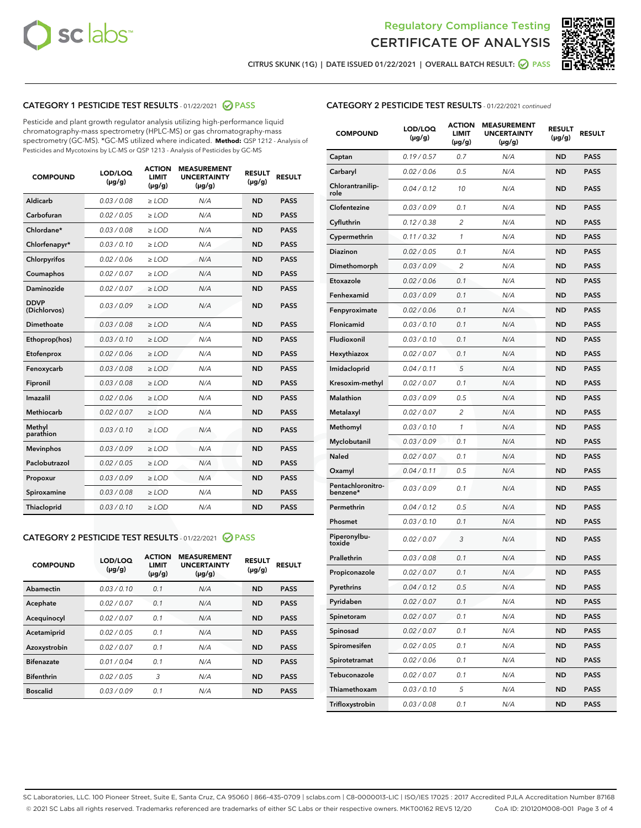



CITRUS SKUNK (1G) | DATE ISSUED 01/22/2021 | OVERALL BATCH RESULT:  $\bigcirc$  PASS

## CATEGORY 1 PESTICIDE TEST RESULTS - 01/22/2021 2 PASS

Pesticide and plant growth regulator analysis utilizing high-performance liquid chromatography-mass spectrometry (HPLC-MS) or gas chromatography-mass spectrometry (GC-MS). \*GC-MS utilized where indicated. **Method:** QSP 1212 - Analysis of Pesticides and Mycotoxins by LC-MS or QSP 1213 - Analysis of Pesticides by GC-MS

| <b>COMPOUND</b>             | LOD/LOQ<br>$(\mu g/g)$ | <b>ACTION</b><br><b>LIMIT</b><br>$(\mu g/g)$ | <b>MEASUREMENT</b><br><b>UNCERTAINTY</b><br>$(\mu g/g)$ | <b>RESULT</b><br>$(\mu g/g)$ | <b>RESULT</b> |
|-----------------------------|------------------------|----------------------------------------------|---------------------------------------------------------|------------------------------|---------------|
| Aldicarb                    | 0.03 / 0.08            | $\ge$ LOD                                    | N/A                                                     | <b>ND</b>                    | <b>PASS</b>   |
| Carbofuran                  | 0.02 / 0.05            | $\ge$ LOD                                    | N/A                                                     | <b>ND</b>                    | <b>PASS</b>   |
| Chlordane*                  | 0.03 / 0.08            | $\ge$ LOD                                    | N/A                                                     | <b>ND</b>                    | <b>PASS</b>   |
| Chlorfenapyr*               | 0.03/0.10              | $\ge$ LOD                                    | N/A                                                     | <b>ND</b>                    | <b>PASS</b>   |
| Chlorpyrifos                | 0.02 / 0.06            | $\ge$ LOD                                    | N/A                                                     | <b>ND</b>                    | <b>PASS</b>   |
| Coumaphos                   | 0.02 / 0.07            | $\ge$ LOD                                    | N/A                                                     | <b>ND</b>                    | <b>PASS</b>   |
| Daminozide                  | 0.02 / 0.07            | $\ge$ LOD                                    | N/A                                                     | <b>ND</b>                    | <b>PASS</b>   |
| <b>DDVP</b><br>(Dichlorvos) | 0.03/0.09              | $\ge$ LOD                                    | N/A                                                     | <b>ND</b>                    | <b>PASS</b>   |
| Dimethoate                  | 0.03 / 0.08            | $\ge$ LOD                                    | N/A                                                     | <b>ND</b>                    | <b>PASS</b>   |
| Ethoprop(hos)               | 0.03/0.10              | $\ge$ LOD                                    | N/A                                                     | <b>ND</b>                    | <b>PASS</b>   |
| Etofenprox                  | 0.02/0.06              | $>$ LOD                                      | N/A                                                     | <b>ND</b>                    | <b>PASS</b>   |
| Fenoxycarb                  | 0.03 / 0.08            | $>$ LOD                                      | N/A                                                     | <b>ND</b>                    | <b>PASS</b>   |
| Fipronil                    | 0.03 / 0.08            | $>$ LOD                                      | N/A                                                     | <b>ND</b>                    | <b>PASS</b>   |
| Imazalil                    | 0.02 / 0.06            | $\ge$ LOD                                    | N/A                                                     | <b>ND</b>                    | <b>PASS</b>   |
| <b>Methiocarb</b>           | 0.02 / 0.07            | $\ge$ LOD                                    | N/A                                                     | <b>ND</b>                    | <b>PASS</b>   |
| Methyl<br>parathion         | 0.03/0.10              | $\ge$ LOD                                    | N/A                                                     | <b>ND</b>                    | <b>PASS</b>   |
| <b>Mevinphos</b>            | 0.03/0.09              | $\ge$ LOD                                    | N/A                                                     | <b>ND</b>                    | <b>PASS</b>   |
| Paclobutrazol               | 0.02 / 0.05            | $\ge$ LOD                                    | N/A                                                     | <b>ND</b>                    | <b>PASS</b>   |
| Propoxur                    | 0.03/0.09              | $\ge$ LOD                                    | N/A                                                     | <b>ND</b>                    | <b>PASS</b>   |
| Spiroxamine                 | 0.03 / 0.08            | $\ge$ LOD                                    | N/A                                                     | <b>ND</b>                    | <b>PASS</b>   |
| Thiacloprid                 | 0.03/0.10              | $\ge$ LOD                                    | N/A                                                     | <b>ND</b>                    | <b>PASS</b>   |

#### CATEGORY 2 PESTICIDE TEST RESULTS - 01/22/2021 @ PASS

| <b>COMPOUND</b>   | LOD/LOQ<br>$(\mu g/g)$ | <b>ACTION</b><br><b>LIMIT</b><br>$(\mu g/g)$ | <b>MEASUREMENT</b><br><b>UNCERTAINTY</b><br>$(\mu g/g)$ | <b>RESULT</b><br>$(\mu g/g)$ | <b>RESULT</b> |
|-------------------|------------------------|----------------------------------------------|---------------------------------------------------------|------------------------------|---------------|
| Abamectin         | 0.03/0.10              | 0.1                                          | N/A                                                     | <b>ND</b>                    | <b>PASS</b>   |
| Acephate          | 0.02/0.07              | 0.1                                          | N/A                                                     | <b>ND</b>                    | <b>PASS</b>   |
| Acequinocyl       | 0.02/0.07              | 0.1                                          | N/A                                                     | <b>ND</b>                    | <b>PASS</b>   |
| Acetamiprid       | 0.02/0.05              | 0.1                                          | N/A                                                     | <b>ND</b>                    | <b>PASS</b>   |
| Azoxystrobin      | 0.02/0.07              | 0.1                                          | N/A                                                     | <b>ND</b>                    | <b>PASS</b>   |
| <b>Bifenazate</b> | 0.01/0.04              | 0.1                                          | N/A                                                     | <b>ND</b>                    | <b>PASS</b>   |
| <b>Bifenthrin</b> | 0.02/0.05              | 3                                            | N/A                                                     | <b>ND</b>                    | <b>PASS</b>   |
| <b>Boscalid</b>   | 0.03/0.09              | 0.1                                          | N/A                                                     | <b>ND</b>                    | <b>PASS</b>   |

| <b>CATEGORY 2 PESTICIDE TEST RESULTS</b> - 01/22/2021 continued |  |  |
|-----------------------------------------------------------------|--|--|
|                                                                 |  |  |

| <b>COMPOUND</b>               | <b>LOD/LOQ</b><br>$(\mu g/g)$ | <b>ACTION</b><br><b>LIMIT</b><br>$(\mu g/g)$ | <b>MEASUREMENT</b><br><b>UNCERTAINTY</b><br>(µg/g) | <b>RESULT</b><br>(µg/g) | <b>RESULT</b> |
|-------------------------------|-------------------------------|----------------------------------------------|----------------------------------------------------|-------------------------|---------------|
| Captan                        | 0.19/0.57                     | 0.7                                          | N/A                                                | <b>ND</b>               | <b>PASS</b>   |
| Carbaryl                      | 0.02 / 0.06                   | 0.5                                          | N/A                                                | ND                      | <b>PASS</b>   |
| Chlorantranilip-<br>role      | 0.04 / 0.12                   | 10                                           | N/A                                                | ND                      | <b>PASS</b>   |
| Clofentezine                  | 0.03/0.09                     | 0.1                                          | N/A                                                | ND                      | <b>PASS</b>   |
| Cyfluthrin                    | 0.12 / 0.38                   | $\overline{c}$                               | N/A                                                | ND                      | <b>PASS</b>   |
| Cypermethrin                  | 0.11 / 0.32                   | 1                                            | N/A                                                | ND                      | <b>PASS</b>   |
| <b>Diazinon</b>               | 0.02 / 0.05                   | 0.1                                          | N/A                                                | ND                      | PASS          |
| Dimethomorph                  | 0.03 / 0.09                   | 2                                            | N/A                                                | ND                      | <b>PASS</b>   |
| Etoxazole                     | 0.02 / 0.06                   | 0.1                                          | N/A                                                | ND                      | <b>PASS</b>   |
| Fenhexamid                    | 0.03 / 0.09                   | 0.1                                          | N/A                                                | ND                      | <b>PASS</b>   |
| Fenpyroximate                 | 0.02 / 0.06                   | 0.1                                          | N/A                                                | ND                      | <b>PASS</b>   |
| Flonicamid                    | 0.03 / 0.10                   | 0.1                                          | N/A                                                | ND                      | <b>PASS</b>   |
| Fludioxonil                   | 0.03/0.10                     | 0.1                                          | N/A                                                | ND                      | PASS          |
| Hexythiazox                   | 0.02 / 0.07                   | 0.1                                          | N/A                                                | ND                      | <b>PASS</b>   |
| Imidacloprid                  | 0.04 / 0.11                   | 5                                            | N/A                                                | ND                      | <b>PASS</b>   |
| Kresoxim-methyl               | 0.02 / 0.07                   | 0.1                                          | N/A                                                | ND                      | <b>PASS</b>   |
| <b>Malathion</b>              | 0.03 / 0.09                   | 0.5                                          | N/A                                                | ND                      | <b>PASS</b>   |
| Metalaxyl                     | 0.02 / 0.07                   | 2                                            | N/A                                                | ND                      | <b>PASS</b>   |
| Methomyl                      | 0.03 / 0.10                   | 1                                            | N/A                                                | ND                      | PASS          |
| Myclobutanil                  | 0.03 / 0.09                   | 0.1                                          | N/A                                                | ND                      | <b>PASS</b>   |
| Naled                         | 0.02 / 0.07                   | 0.1                                          | N/A                                                | ND                      | <b>PASS</b>   |
| Oxamyl                        | 0.04 / 0.11                   | 0.5                                          | N/A                                                | ND                      | PASS          |
| Pentachloronitro-<br>benzene* | 0.03 / 0.09                   | 0.1                                          | N/A                                                | ND                      | <b>PASS</b>   |
| Permethrin                    | 0.04 / 0.12                   | 0.5                                          | N/A                                                | ND                      | <b>PASS</b>   |
| Phosmet                       | 0.03/0.10                     | 0.1                                          | N/A                                                | ND                      | <b>PASS</b>   |
| Piperonylbu-<br>toxide        | 0.02 / 0.07                   | 3                                            | N/A                                                | ND                      | <b>PASS</b>   |
| Prallethrin                   | 0.03 / 0.08                   | 0.1                                          | N/A                                                | ND                      | <b>PASS</b>   |
| Propiconazole                 | 0.02 / 0.07                   | 0.1                                          | N/A                                                | ND                      | <b>PASS</b>   |
| Pyrethrins                    | 0.04 / 0.12                   | 0.5                                          | N/A                                                | ND                      | PASS          |
| Pyridaben                     | 0.02 / 0.07                   | 0.1                                          | N/A                                                | ND                      | PASS          |
| Spinetoram                    | 0.02 / 0.07                   | 0.1                                          | N/A                                                | ND                      | <b>PASS</b>   |
| Spinosad                      | 0.02 / 0.07                   | 0.1                                          | N/A                                                | ND                      | <b>PASS</b>   |
| Spiromesifen                  | 0.02 / 0.05                   | 0.1                                          | N/A                                                | ND                      | <b>PASS</b>   |
| Spirotetramat                 | 0.02 / 0.06                   | 0.1                                          | N/A                                                | ND                      | <b>PASS</b>   |
| Tebuconazole                  | 0.02 / 0.07                   | 0.1                                          | N/A                                                | ND                      | <b>PASS</b>   |
| Thiamethoxam                  | 0.03 / 0.10                   | 5                                            | N/A                                                | ND                      | <b>PASS</b>   |
| Trifloxystrobin               | 0.03 / 0.08                   | 0.1                                          | N/A                                                | ND                      | <b>PASS</b>   |